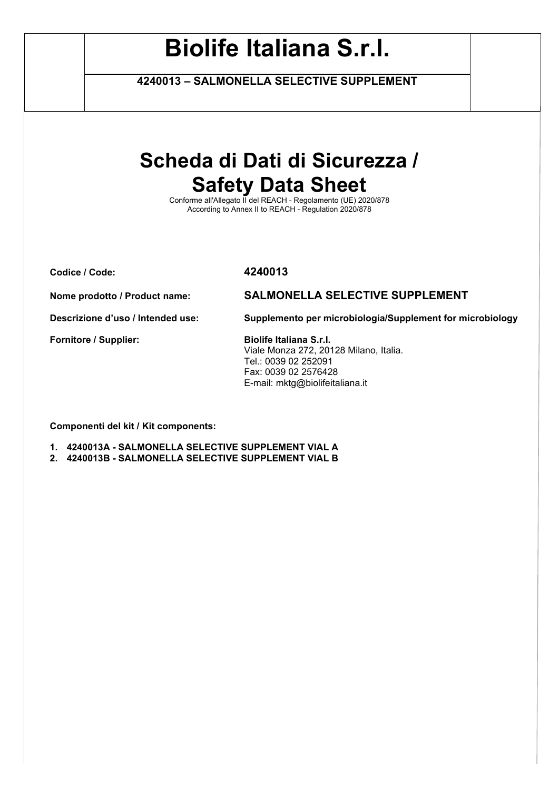**4240013 – SALMONELLA SELECTIVE SUPPLEMENT**

# **Scheda di Dati di Sicurezza / Safety Data Sheet**

Conforme all'Allegato II del REACH - Regolamento (UE) 2020/878 According to Annex II to REACH - Regulation 2020/878

**Codice / Code: 4240013**

**Nome prodotto / Product name: SALMONELLA SELECTIVE SUPPLEMENT**

**Descrizione d'uso / Intended use: Supplemento per microbiologia/Supplement for microbiology**

Fornitore / Supplier: Biolife Italiana S.r.l.

Viale Monza 272, 20128 Milano, Italia. Tel.: 0039 02 252091 Fax: 0039 02 2576428 E-mail: mktg@biolifeitaliana.it

**Componenti del kit / Kit components:** 

**1. 4240013A - SALMONELLA SELECTIVE SUPPLEMENT VIAL A** 

**2. 4240013B - SALMONELLA SELECTIVE SUPPLEMENT VIAL B**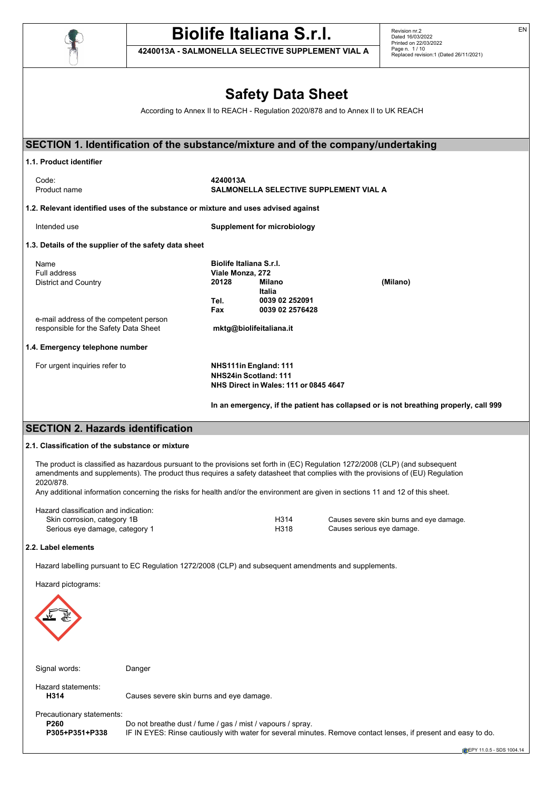

**4240013A - SALMONELLA SELECTIVE SUPPLEMENT VIAL A**

Revision nr.2 Dated 16/03/2022 Printed on 22/03/2022 Page n. 1 / 10 Replaced revision:1 (Dated 26/11/2021)

# **Safety Data Sheet**

According to Annex II to REACH - Regulation 2020/878 and to Annex II to UK REACH

|                                                                                                                                                    |                                                            |                                                                                                       |                                                              | SECTION 1. Identification of the substance/mixture and of the company/undertaking                                                                                                                                                                                                                                                                                                                                                                                              |
|----------------------------------------------------------------------------------------------------------------------------------------------------|------------------------------------------------------------|-------------------------------------------------------------------------------------------------------|--------------------------------------------------------------|--------------------------------------------------------------------------------------------------------------------------------------------------------------------------------------------------------------------------------------------------------------------------------------------------------------------------------------------------------------------------------------------------------------------------------------------------------------------------------|
| 1.1. Product identifier                                                                                                                            |                                                            |                                                                                                       |                                                              |                                                                                                                                                                                                                                                                                                                                                                                                                                                                                |
| Code:<br>Product name                                                                                                                              |                                                            | 4240013A                                                                                              | SALMONELLA SELECTIVE SUPPLEMENT VIAL A                       |                                                                                                                                                                                                                                                                                                                                                                                                                                                                                |
| 1.2. Relevant identified uses of the substance or mixture and uses advised against                                                                 |                                                            |                                                                                                       |                                                              |                                                                                                                                                                                                                                                                                                                                                                                                                                                                                |
| Intended use                                                                                                                                       |                                                            |                                                                                                       | <b>Supplement for microbiology</b>                           |                                                                                                                                                                                                                                                                                                                                                                                                                                                                                |
| 1.3. Details of the supplier of the safety data sheet                                                                                              |                                                            |                                                                                                       |                                                              |                                                                                                                                                                                                                                                                                                                                                                                                                                                                                |
| Name<br>Full address<br><b>District and Country</b><br>e-mail address of the competent person<br>responsible for the Safety Data Sheet             |                                                            | <b>Biolife Italiana S.r.I.</b><br>Viale Monza, 272<br>20128<br>Tel.<br>Fax<br>mktg@biolifeitaliana.it | <b>Milano</b><br>Italia<br>0039 02 252091<br>0039 02 2576428 | (Milano)                                                                                                                                                                                                                                                                                                                                                                                                                                                                       |
|                                                                                                                                                    |                                                            |                                                                                                       |                                                              |                                                                                                                                                                                                                                                                                                                                                                                                                                                                                |
| 1.4. Emergency telephone number<br>For urgent inquiries refer to                                                                                   |                                                            | NHS111in England: 111<br>NHS24in Scotland: 111                                                        | NHS Direct in Wales: 111 or 0845 4647                        | In an emergency, if the patient has collapsed or is not breathing properly, call 999                                                                                                                                                                                                                                                                                                                                                                                           |
|                                                                                                                                                    |                                                            |                                                                                                       |                                                              |                                                                                                                                                                                                                                                                                                                                                                                                                                                                                |
| <b>SECTION 2. Hazards identification</b>                                                                                                           |                                                            |                                                                                                       |                                                              |                                                                                                                                                                                                                                                                                                                                                                                                                                                                                |
| 2.1. Classification of the substance or mixture<br>2020/878.<br>Hazard classification and indication:<br>Skin corrosion, category 1B               |                                                            |                                                                                                       | H314<br>H318                                                 | The product is classified as hazardous pursuant to the provisions set forth in (EC) Regulation 1272/2008 (CLP) (and subsequent<br>amendments and supplements). The product thus requires a safety datasheet that complies with the provisions of (EU) Regulation<br>Any additional information concerning the risks for health and/or the environment are given in sections 11 and 12 of this sheet.<br>Causes severe skin burns and eye damage.<br>Causes serious eye damage. |
| Serious eye damage, category 1                                                                                                                     |                                                            |                                                                                                       |                                                              |                                                                                                                                                                                                                                                                                                                                                                                                                                                                                |
| 2.2. Label elements<br>Hazard labelling pursuant to EC Regulation 1272/2008 (CLP) and subsequent amendments and supplements.<br>Hazard pictograms: |                                                            |                                                                                                       |                                                              |                                                                                                                                                                                                                                                                                                                                                                                                                                                                                |
| Signal words:                                                                                                                                      | Danger                                                     |                                                                                                       |                                                              |                                                                                                                                                                                                                                                                                                                                                                                                                                                                                |
| Hazard statements:<br>H314                                                                                                                         | Causes severe skin burns and eye damage.                   |                                                                                                       |                                                              |                                                                                                                                                                                                                                                                                                                                                                                                                                                                                |
| Precautionary statements:<br>P260<br>P305+P351+P338                                                                                                | Do not breathe dust / fume / gas / mist / vapours / spray. |                                                                                                       |                                                              | IF IN EYES: Rinse cautiously with water for several minutes. Remove contact lenses, if present and easy to do.                                                                                                                                                                                                                                                                                                                                                                 |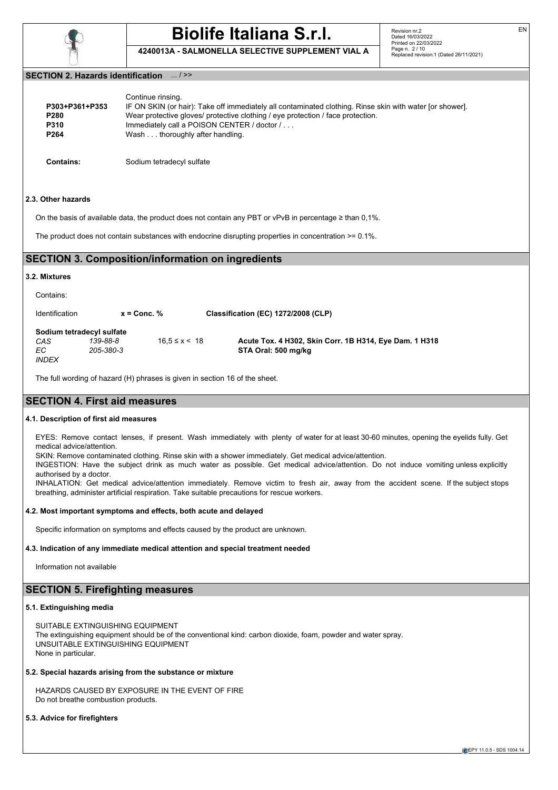

**4240013A - SALMONELLA SELECTIVE SUPPLEMENT VIAL A**

### **SECTION 2. Hazards identification** ... / >>

| P303+P361+P353<br>P280<br><b>P310</b><br>P <sub>264</sub> | Continue rinsing.<br>IF ON SKIN (or hair): Take off immediately all contaminated clothing. Rinse skin with water [or shower].<br>Wear protective gloves/ protective clothing / eye protection / face protection.<br>Immediately call a POISON CENTER / doctor /<br>Wash thoroughly after handling. |
|-----------------------------------------------------------|----------------------------------------------------------------------------------------------------------------------------------------------------------------------------------------------------------------------------------------------------------------------------------------------------|
|                                                           |                                                                                                                                                                                                                                                                                                    |

**Contains:** Sodium tetradecyl sulfate

### **2.3. Other hazards**

On the basis of available data, the product does not contain any PBT or vPvB in percentage ≥ than 0,1%.

The product does not contain substances with endocrine disrupting properties in concentration >= 0.1%.

## **SECTION 3. Composition/information on ingredients**

### **3.2. Mixtures**

Contains:

| Identification                                          | $x =$ Conc. $%$       |                     | Classification (EC) 1272/2008 (CLP)                                           |
|---------------------------------------------------------|-----------------------|---------------------|-------------------------------------------------------------------------------|
| Sodium tetradecyl sulfate<br>CAS<br>EC.<br><b>INDFX</b> | 139-88-8<br>205-380-3 | $16.5 \le x \le 18$ | Acute Tox. 4 H302, Skin Corr. 1B H314, Eye Dam. 1 H318<br>STA Oral: 500 mg/kg |

The full wording of hazard (H) phrases is given in section 16 of the sheet.

## **SECTION 4. First aid measures**

### **4.1. Description of first aid measures**

EYES: Remove contact lenses, if present. Wash immediately with plenty of water for at least 30-60 minutes, opening the eyelids fully. Get medical advice/attention.

SKIN: Remove contaminated clothing. Rinse skin with a shower immediately. Get medical advice/attention. INGESTION: Have the subject drink as much water as possible. Get medical advice/attention. Do not induce vomiting unless explicitly authorised by a doctor.

INHALATION: Get medical advice/attention immediately. Remove victim to fresh air, away from the accident scene. If the subject stops breathing, administer artificial respiration. Take suitable precautions for rescue workers.

### **4.2. Most important symptoms and effects, both acute and delayed**

Specific information on symptoms and effects caused by the product are unknown.

### **4.3. Indication of any immediate medical attention and special treatment needed**

Information not available

# **SECTION 5. Firefighting measures**

### **5.1. Extinguishing media**

SUITABLE EXTINGUISHING EQUIPMENT The extinguishing equipment should be of the conventional kind: carbon dioxide, foam, powder and water spray. UNSUITABLE EXTINGUISHING EQUIPMENT None in particular.

## **5.2. Special hazards arising from the substance or mixture**

HAZARDS CAUSED BY EXPOSURE IN THE EVENT OF FIRE Do not breathe combustion products.

## **5.3. Advice for firefighters**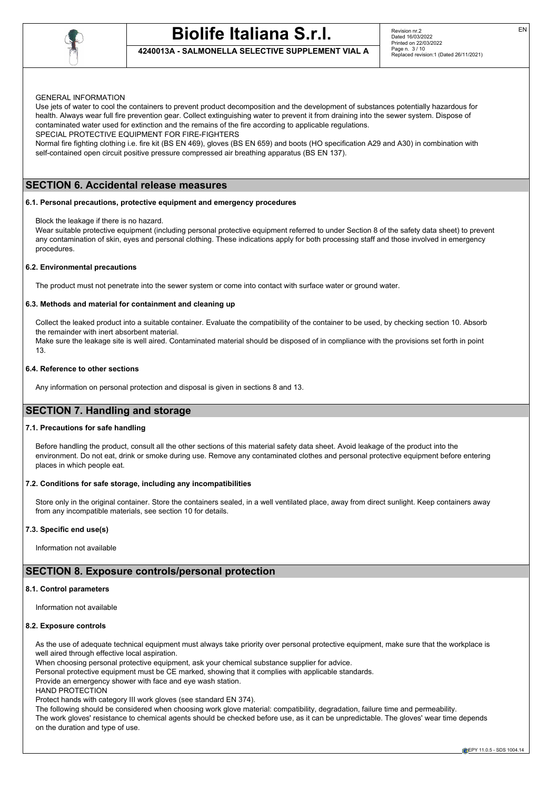

## **4240013A - SALMONELLA SELECTIVE SUPPLEMENT VIAL A**

### GENERAL INFORMATION

Use jets of water to cool the containers to prevent product decomposition and the development of substances potentially hazardous for health. Always wear full fire prevention gear. Collect extinguishing water to prevent it from draining into the sewer system. Dispose of contaminated water used for extinction and the remains of the fire according to applicable regulations.

SPECIAL PROTECTIVE EQUIPMENT FOR FIRE-FIGHTERS

Normal fire fighting clothing i.e. fire kit (BS EN 469), gloves (BS EN 659) and boots (HO specification A29 and A30) in combination with self-contained open circuit positive pressure compressed air breathing apparatus (BS EN 137).

# **SECTION 6. Accidental release measures**

### **6.1. Personal precautions, protective equipment and emergency procedures**

Block the leakage if there is no hazard.

Wear suitable protective equipment (including personal protective equipment referred to under Section 8 of the safety data sheet) to prevent any contamination of skin, eyes and personal clothing. These indications apply for both processing staff and those involved in emergency procedures.

### **6.2. Environmental precautions**

The product must not penetrate into the sewer system or come into contact with surface water or ground water.

### **6.3. Methods and material for containment and cleaning up**

Collect the leaked product into a suitable container. Evaluate the compatibility of the container to be used, by checking section 10. Absorb the remainder with inert absorbent material.

Make sure the leakage site is well aired. Contaminated material should be disposed of in compliance with the provisions set forth in point 13.

### **6.4. Reference to other sections**

Any information on personal protection and disposal is given in sections 8 and 13.

### **SECTION 7. Handling and storage**

### **7.1. Precautions for safe handling**

Before handling the product, consult all the other sections of this material safety data sheet. Avoid leakage of the product into the environment. Do not eat, drink or smoke during use. Remove any contaminated clothes and personal protective equipment before entering places in which people eat.

### **7.2. Conditions for safe storage, including any incompatibilities**

Store only in the original container. Store the containers sealed, in a well ventilated place, away from direct sunlight. Keep containers away from any incompatible materials, see section 10 for details.

### **7.3. Specific end use(s)**

Information not available

### **SECTION 8. Exposure controls/personal protection**

### **8.1. Control parameters**

Information not available

### **8.2. Exposure controls**

As the use of adequate technical equipment must always take priority over personal protective equipment, make sure that the workplace is well aired through effective local aspiration.

When choosing personal protective equipment, ask your chemical substance supplier for advice.

Personal protective equipment must be CE marked, showing that it complies with applicable standards.

Provide an emergency shower with face and eye wash station.

HAND PROTECTION

Protect hands with category III work gloves (see standard EN 374).

The following should be considered when choosing work glove material: compatibility, degradation, failure time and permeability. The work gloves' resistance to chemical agents should be checked before use, as it can be unpredictable. The gloves' wear time depends on the duration and type of use.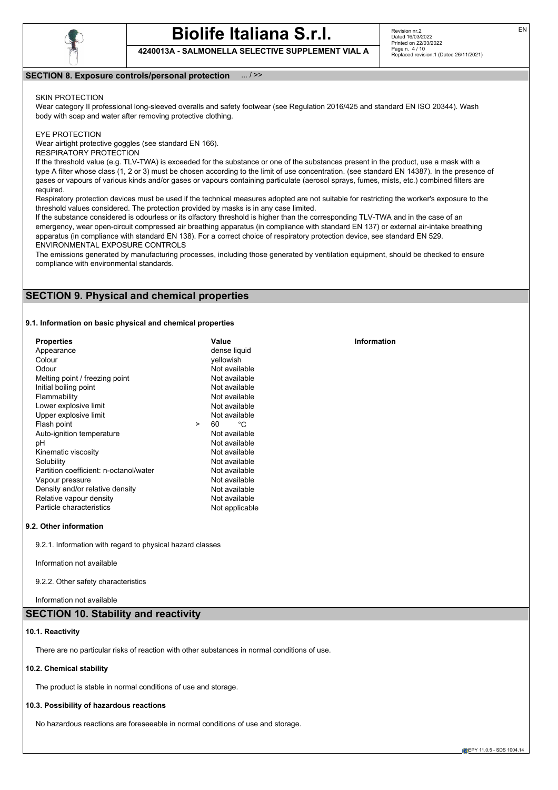

**4240013A - SALMONELLA SELECTIVE SUPPLEMENT VIAL A**

### **SECTION 8. Exposure controls/personal protection** ... / >>

### SKIN PROTECTION

Wear category II professional long-sleeved overalls and safety footwear (see Regulation 2016/425 and standard EN ISO 20344). Wash body with soap and water after removing protective clothing.

### EYE PROTECTION

Wear airtight protective goggles (see standard EN 166).

RESPIRATORY PROTECTION

If the threshold value (e.g. TLV-TWA) is exceeded for the substance or one of the substances present in the product, use a mask with a type A filter whose class (1, 2 or 3) must be chosen according to the limit of use concentration. (see standard EN 14387). In the presence of gases or vapours of various kinds and/or gases or vapours containing particulate (aerosol sprays, fumes, mists, etc.) combined filters are required.

Respiratory protection devices must be used if the technical measures adopted are not suitable for restricting the worker's exposure to the threshold values considered. The protection provided by masks is in any case limited.

If the substance considered is odourless or its olfactory threshold is higher than the corresponding TLV-TWA and in the case of an emergency, wear open-circuit compressed air breathing apparatus (in compliance with standard EN 137) or external air-intake breathing apparatus (in compliance with standard EN 138). For a correct choice of respiratory protection device, see standard EN 529. ENVIRONMENTAL EXPOSURE CONTROLS

The emissions generated by manufacturing processes, including those generated by ventilation equipment, should be checked to ensure compliance with environmental standards.

## **SECTION 9. Physical and chemical properties**

### **9.1. Information on basic physical and chemical properties**

| <b>Properties</b>                      |        | Value          | Information |
|----------------------------------------|--------|----------------|-------------|
| Appearance                             |        | dense liquid   |             |
| Colour                                 |        | vellowish      |             |
| Odour                                  |        | Not available  |             |
| Melting point / freezing point         |        | Not available  |             |
| Initial boiling point                  |        | Not available  |             |
| Flammability                           |        | Not available  |             |
| Lower explosive limit                  |        | Not available  |             |
| Upper explosive limit                  |        | Not available  |             |
| Flash point                            | $\geq$ | °С<br>60       |             |
| Auto-ignition temperature              |        | Not available  |             |
| рH                                     |        | Not available  |             |
| Kinematic viscosity                    |        | Not available  |             |
| Solubility                             |        | Not available  |             |
| Partition coefficient: n-octanol/water |        | Not available  |             |
| Vapour pressure                        |        | Not available  |             |
| Density and/or relative density        |        | Not available  |             |
| Relative vapour density                |        | Not available  |             |
| Particle characteristics               |        | Not applicable |             |

### **9.2. Other information**

9.2.1. Information with regard to physical hazard classes

Information not available

9.2.2. Other safety characteristics

Information not available

## **SECTION 10. Stability and reactivity**

### **10.1. Reactivity**

There are no particular risks of reaction with other substances in normal conditions of use.

### **10.2. Chemical stability**

The product is stable in normal conditions of use and storage.

### **10.3. Possibility of hazardous reactions**

No hazardous reactions are foreseeable in normal conditions of use and storage.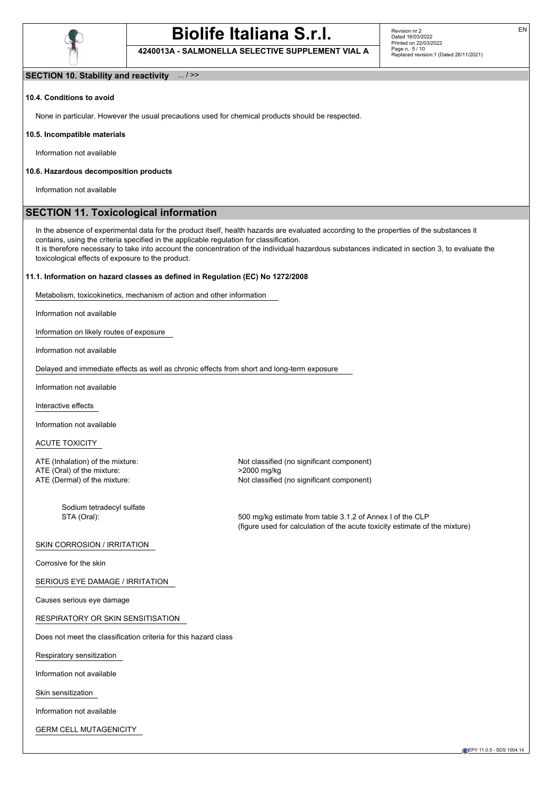

**4240013A - SALMONELLA SELECTIVE SUPPLEMENT VIAL A**

### **SECTION 10. Stability and reactivity** ... / >>

### **10.4. Conditions to avoid**

None in particular. However the usual precautions used for chemical products should be respected.

#### **10.5. Incompatible materials**

Information not available

### **10.6. Hazardous decomposition products**

Information not available

## **SECTION 11. Toxicological information**

In the absence of experimental data for the product itself, health hazards are evaluated according to the properties of the substances it contains, using the criteria specified in the applicable regulation for classification.

It is therefore necessary to take into account the concentration of the individual hazardous substances indicated in section 3, to evaluate the toxicological effects of exposure to the product.

### **11.1. Information on hazard classes as defined in Regulation (EC) No 1272/2008**

Metabolism, toxicokinetics, mechanism of action and other information

Information not available

Information on likely routes of exposure

Information not available

Delayed and immediate effects as well as chronic effects from short and long-term exposure

Information not available

Interactive effects

Information not available

ACUTE TOXICITY

ATE (Oral) of the mixture:  $\geq$  2000 mg/kg ATE (Dermal) of the mixture:  $\geq$  8000 mg/kg ATE (Dermal) of the mixture:

Sodium tetradecyl sulfate

ATE (Inhalation) of the mixture:  $\blacksquare$  Not classified (no significant component) Not classified (no significant component)

STA (Oral): 500 mg/kg estimate from table 3.1.2 of Annex I of the CLP (figure used for calculation of the acute toxicity estimate of the mixture)

### SKIN CORROSION / IRRITATION

Corrosive for the skin

SERIOUS EYE DAMAGE / IRRITATION

Causes serious eye damage

RESPIRATORY OR SKIN SENSITISATION

Does not meet the classification criteria for this hazard class

Respiratory sensitization

Information not available

Skin sensitization

Information not available

GERM CELL MUTAGENICITY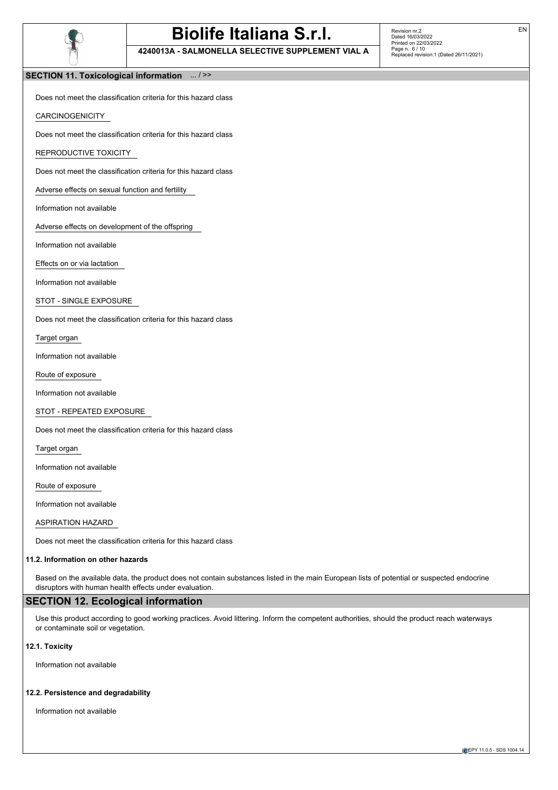

**4240013A - SALMONELLA SELECTIVE SUPPLEMENT VIAL A**

Revision nr.2 Dated 16/03/2022 Printed on 22/03/2022 Page n. 6 / 10 Replaced revision:1 (Dated 26/11/2021)

### **SECTION 11. Toxicological information** ... / >>

Does not meet the classification criteria for this hazard class

**CARCINOGENICITY** 

Does not meet the classification criteria for this hazard class

REPRODUCTIVE TOXICITY

Does not meet the classification criteria for this hazard class

Adverse effects on sexual function and fertility

Information not available

Adverse effects on development of the offspring

Information not available

Effects on or via lactation

Information not available

STOT - SINGLE EXPOSURE

Does not meet the classification criteria for this hazard class

Target organ

Information not available

Route of exposure

Information not available

STOT - REPEATED EXPOSURE

Does not meet the classification criteria for this hazard class

Target organ

Information not available

Route of exposure

Information not available

ASPIRATION HAZARD

Does not meet the classification criteria for this hazard class

### **11.2. Information on other hazards**

Based on the available data, the product does not contain substances listed in the main European lists of potential or suspected endocrine disruptors with human health effects under evaluation.

## **SECTION 12. Ecological information**

Use this product according to good working practices. Avoid littering. Inform the competent authorities, should the product reach waterways or contaminate soil or vegetation.

### **12.1. Toxicity**

Information not available

### **12.2. Persistence and degradability**

Information not available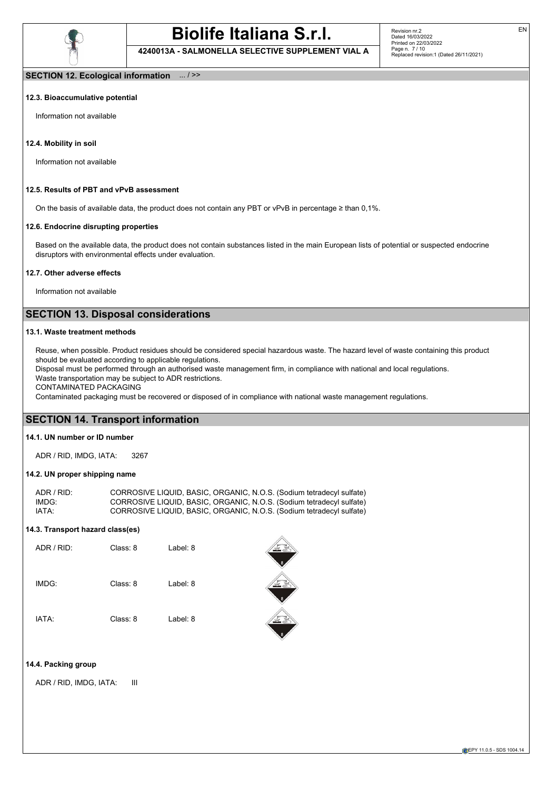

**4240013A - SALMONELLA SELECTIVE SUPPLEMENT VIAL A**

EN

### **SECTION 12. Ecological information** ... / >>

### **12.3. Bioaccumulative potential**

Information not available

### **12.4. Mobility in soil**

Information not available

### **12.5. Results of PBT and vPvB assessment**

On the basis of available data, the product does not contain any PBT or vPvB in percentage ≥ than 0,1%.

### **12.6. Endocrine disrupting properties**

Based on the available data, the product does not contain substances listed in the main European lists of potential or suspected endocrine disruptors with environmental effects under evaluation.

### **12.7. Other adverse effects**

Information not available

# **SECTION 13. Disposal considerations**

### **13.1. Waste treatment methods**

Reuse, when possible. Product residues should be considered special hazardous waste. The hazard level of waste containing this product should be evaluated according to applicable regulations.

EN CONTRACTOR

Disposal must be performed through an authorised waste management firm, in compliance with national and local regulations.

Waste transportation may be subject to ADR restrictions.

CONTAMINATED PACKAGING

Contaminated packaging must be recovered or disposed of in compliance with national waste management regulations.

## **SECTION 14. Transport information**

### **14.1. UN number or ID number**

ADR / RID, IMDG, IATA: 3267

### **14.2. UN proper shipping name**

| ADR / RID: | CORROSIVE LIQUID, BASIC, ORGANIC, N.O.S. (Sodium tetradecyl sulfate) |
|------------|----------------------------------------------------------------------|
| IMDG:      | CORROSIVE LIQUID, BASIC, ORGANIC, N.O.S. (Sodium tetradecyl sulfate) |
| IATA:      | CORROSIVE LIQUID, BASIC, ORGANIC, N.O.S. (Sodium tetradecyl sulfate) |

### **14.3. Transport hazard class(es)**

| ADR / RID: | Class: 8 | Label: 8 |
|------------|----------|----------|
| IMDG:      | Class: 8 | Label: 8 |
| IATA:      | Class: 8 | Label: 8 |

## **14.4. Packing group**

ADR / RID, IMDG, IATA: III

**EPY 11.0.5 - SDS 1004.14**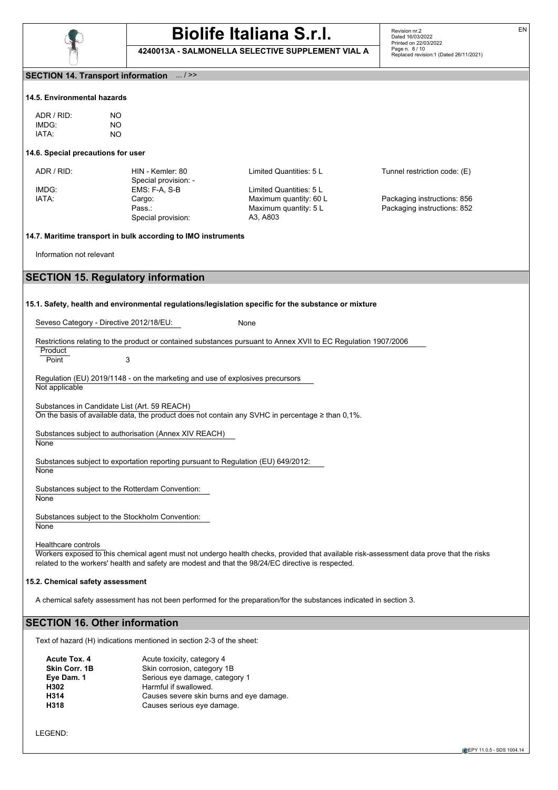

**4240013A - SALMONELLA SELECTIVE SUPPLEMENT VIAL A**

Revision nr.2 Dated 16/03/2022 Printed on 22/03/2022 Page n. 8 / 10 Replaced revision:1 (Dated 26/11/2021)

### **SECTION 14. Transport information** ... / >>

### **14.5. Environmental hazards**

| ADR/RID | NO. |
|---------|-----|
| IMDG:   | NO. |
| IATA·   | NΟ  |

### **14.6. Special precautions for user**

Special provision: -<br>EMS: F-A, S-B Special provision: A3, A803

IMDG: EMS: F-A, S-B Limited Quantities: 5 L IATA: Cargo: Maximum quantity: 60 L Packaging instructions: 856

ADR / RID: HIN - Kemler: 80 Limited Quantities: 5 L Tunnel restriction code: (E)

Pass.: Maximum quantity: 5 L Packaging instructions: 852

### **14.7. Maritime transport in bulk according to IMO instruments**

Information not relevant

## **SECTION 15. Regulatory information**

### **15.1. Safety, health and environmental regulations/legislation specific for the substance or mixture**

Seveso Category - Directive 2012/18/EU: None

### Restrictions relating to the product or contained substances pursuant to Annex XVII to EC Regulation 1907/2006

**Product** Point 3

Regulation (EU) 2019/1148 - on the marketing and use of explosives precursors Not applicable

Substances in Candidate List (Art. 59 REACH) On the basis of available data, the product does not contain any SVHC in percentage ≥ than 0,1%.

Substances subject to authorisation (Annex XIV REACH)

**None** 

Substances subject to exportation reporting pursuant to Regulation (EU) 649/2012:

**None** 

Substances subject to the Rotterdam Convention:

**None** 

Substances subject to the Stockholm Convention: **None** 

Healthcare controls

Workers exposed to this chemical agent must not undergo health checks, provided that available risk-assessment data prove that the risks related to the workers' health and safety are modest and that the 98/24/EC directive is respected.

### **15.2. Chemical safety assessment**

A chemical safety assessment has not been performed for the preparation/for the substances indicated in section 3.

## **SECTION 16. Other information**

Text of hazard (H) indications mentioned in section 2-3 of the sheet:

| Acute Tox, 4  | Acute toxicity, category 4               |
|---------------|------------------------------------------|
| Skin Corr. 1B | Skin corrosion, category 1B              |
| Eye Dam. 1    | Serious eye damage, category 1           |
| H302          | Harmful if swallowed.                    |
| H314          | Causes severe skin burns and eye damage. |
| H318          | Causes serious eye damage.               |
|               |                                          |

**EPY 11.0.5 - SDS 1004.14**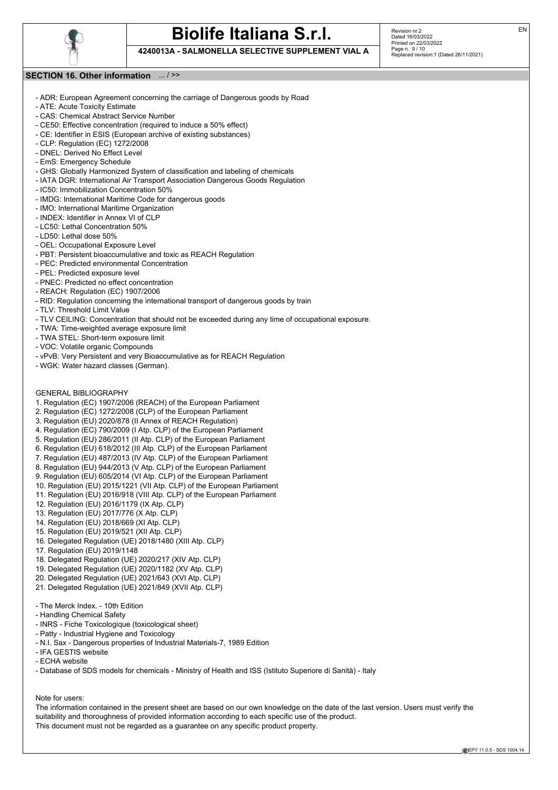

**4240013A - SALMONELLA SELECTIVE SUPPLEMENT VIAL A**

Revision nr.2 Dated 16/03/2022 Printed on 22/03/2022 Page n. 9 / 10 Replaced revision:1 (Dated 26/11/2021)

### **SECTION 16. Other information** ... / >>

- ADR: European Agreement concerning the carriage of Dangerous goods by Road
- ATE: Acute Toxicity Estimate
- CAS: Chemical Abstract Service Number
- CE50: Effective concentration (required to induce a 50% effect)
- CE: Identifier in ESIS (European archive of existing substances)
- CLP: Regulation (EC) 1272/2008
- DNEL: Derived No Effect Level
- EmS: Emergency Schedule
- GHS: Globally Harmonized System of classification and labeling of chemicals
- IATA DGR: International Air Transport Association Dangerous Goods Regulation
- IC50: Immobilization Concentration 50%
- IMDG: International Maritime Code for dangerous goods
- IMO: International Maritime Organization
- INDEX: Identifier in Annex VI of CLP
- LC50: Lethal Concentration 50%
- LD50: Lethal dose 50%
- OEL: Occupational Exposure Level
- PBT: Persistent bioaccumulative and toxic as REACH Regulation
- PEC: Predicted environmental Concentration
- PEL: Predicted exposure level
- PNEC: Predicted no effect concentration
- REACH: Regulation (EC) 1907/2006
- RID: Regulation concerning the international transport of dangerous goods by train
- TLV: Threshold Limit Value
- TLV CEILING: Concentration that should not be exceeded during any time of occupational exposure.
- TWA: Time-weighted average exposure limit
- TWA STEL: Short-term exposure limit
- VOC: Volatile organic Compounds
- vPvB: Very Persistent and very Bioaccumulative as for REACH Regulation
- WGK: Water hazard classes (German).

### GENERAL BIBLIOGRAPHY

- 1. Regulation (EC) 1907/2006 (REACH) of the European Parliament
- 2. Regulation (EC) 1272/2008 (CLP) of the European Parliament
- 3. Regulation (EU) 2020/878 (II Annex of REACH Regulation)
- 4. Regulation (EC) 790/2009 (I Atp. CLP) of the European Parliament
- 5. Regulation (EU) 286/2011 (II Atp. CLP) of the European Parliament
- 6. Regulation (EU) 618/2012 (III Atp. CLP) of the European Parliament
- 7. Regulation (EU) 487/2013 (IV Atp. CLP) of the European Parliament
- 8. Regulation (EU) 944/2013 (V Atp. CLP) of the European Parliament
- 9. Regulation (EU) 605/2014 (VI Atp. CLP) of the European Parliament
- 10. Regulation (EU) 2015/1221 (VII Atp. CLP) of the European Parliament
- 11. Regulation (EU) 2016/918 (VIII Atp. CLP) of the European Parliament
- 12. Regulation (EU) 2016/1179 (IX Atp. CLP)
- 13. Regulation (EU) 2017/776 (X Atp. CLP)
- 14. Regulation (EU) 2018/669 (XI Atp. CLP)
- 15. Regulation (EU) 2019/521 (XII Atp. CLP)
- 
- 16. Delegated Regulation (UE) 2018/1480 (XIII Atp. CLP)
- 17. Regulation (EU) 2019/1148
- 18. Delegated Regulation (UE) 2020/217 (XIV Atp. CLP)
- 19. Delegated Regulation (UE) 2020/1182 (XV Atp. CLP)
- 20. Delegated Regulation (UE) 2021/643 (XVI Atp. CLP)
- 21. Delegated Regulation (UE) 2021/849 (XVII Atp. CLP)
- The Merck Index. 10th Edition
- Handling Chemical Safety
- INRS Fiche Toxicologique (toxicological sheet)
- Patty Industrial Hygiene and Toxicology
- N.I. Sax Dangerous properties of Industrial Materials-7, 1989 Edition
- IFA GESTIS website
- ECHA website
- Database of SDS models for chemicals Ministry of Health and ISS (Istituto Superiore di Sanità) Italy

Note for users:

The information contained in the present sheet are based on our own knowledge on the date of the last version. Users must verify the suitability and thoroughness of provided information according to each specific use of the product. This document must not be regarded as a guarantee on any specific product property.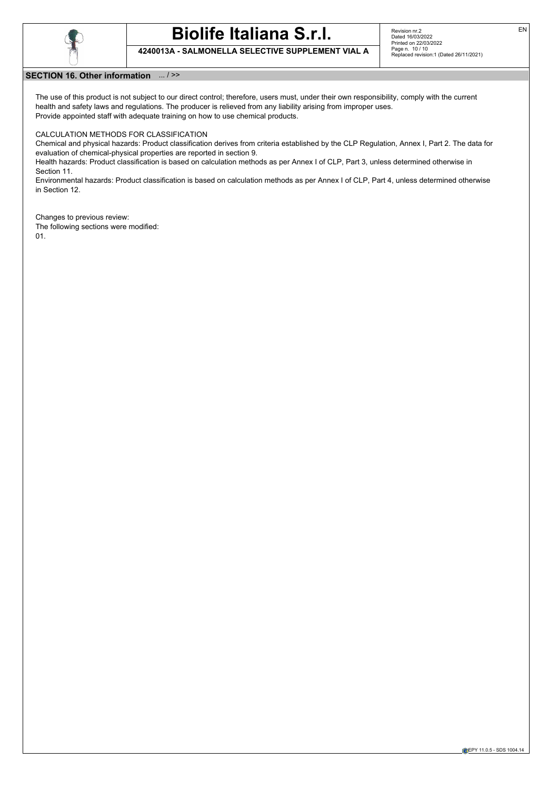

# **Biolife Italiana S.r.l. 4240013A - SALMONELLA SELECTIVE SUPPLEMENT VIAL A**

Revision nr.2 Dated 16/03/2022 Printed on 22/03/2022 Page n. 10 / 10 Replaced revision:1 (Dated 26/11/2021)

### **SECTION 16. Other information** ... / >>

The use of this product is not subject to our direct control; therefore, users must, under their own responsibility, comply with the current health and safety laws and regulations. The producer is relieved from any liability arising from improper uses. Provide appointed staff with adequate training on how to use chemical products.

### CALCULATION METHODS FOR CLASSIFICATION

Chemical and physical hazards: Product classification derives from criteria established by the CLP Regulation, Annex I, Part 2. The data for evaluation of chemical-physical properties are reported in section 9.

Health hazards: Product classification is based on calculation methods as per Annex I of CLP, Part 3, unless determined otherwise in Section 11.

Environmental hazards: Product classification is based on calculation methods as per Annex I of CLP, Part 4, unless determined otherwise in Section 12.

Changes to previous review: The following sections were modified: 01.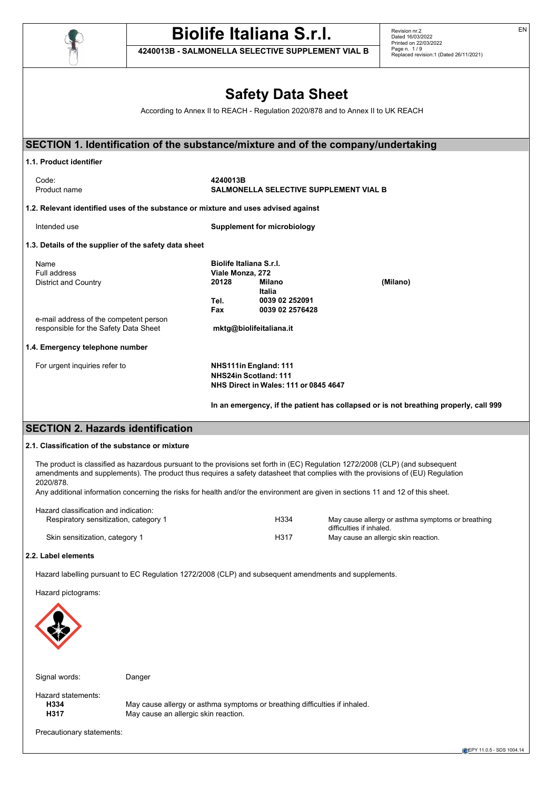

**4240013B - SALMONELLA SELECTIVE SUPPLEMENT VIAL B**

Revision nr.2 Dated 16/03/2022 Printed on 22/03/2022 Page n. 1 / 9 Replaced revision:1 (Dated 26/11/2021)

# **Safety Data Sheet**

According to Annex II to REACH - Regulation 2020/878 and to Annex II to UK REACH

| 1.1. Product identifier                                                                                                                       |                                               |                                                                                                                                |
|-----------------------------------------------------------------------------------------------------------------------------------------------|-----------------------------------------------|--------------------------------------------------------------------------------------------------------------------------------|
| Code:                                                                                                                                         | 4240013B                                      |                                                                                                                                |
| Product name                                                                                                                                  | <b>SALMONELLA SELECTIVE SUPPLEMENT VIAL B</b> |                                                                                                                                |
| 1.2. Relevant identified uses of the substance or mixture and uses advised against                                                            |                                               |                                                                                                                                |
| Intended use                                                                                                                                  | <b>Supplement for microbiology</b>            |                                                                                                                                |
| 1.3. Details of the supplier of the safety data sheet                                                                                         |                                               |                                                                                                                                |
| Name                                                                                                                                          | Biolife Italiana S.r.I.                       |                                                                                                                                |
| Full address                                                                                                                                  | Viale Monza, 272                              |                                                                                                                                |
| <b>District and Country</b>                                                                                                                   | 20128<br>Milano                               | (Milano)                                                                                                                       |
|                                                                                                                                               | Italia                                        |                                                                                                                                |
|                                                                                                                                               | Tel.<br>0039 02 252091                        |                                                                                                                                |
| e-mail address of the competent person                                                                                                        | 0039 02 2576428<br>Fax                        |                                                                                                                                |
| responsible for the Safety Data Sheet                                                                                                         | mktg@biolifeitaliana.it                       |                                                                                                                                |
| 1.4. Emergency telephone number                                                                                                               |                                               |                                                                                                                                |
| For urgent inquiries refer to                                                                                                                 | NHS111in England: 111                         |                                                                                                                                |
|                                                                                                                                               |                                               |                                                                                                                                |
|                                                                                                                                               | NHS24in Scotland: 111                         |                                                                                                                                |
|                                                                                                                                               | NHS Direct in Wales: 111 or 0845 4647         |                                                                                                                                |
|                                                                                                                                               |                                               | In an emergency, if the patient has collapsed or is not breathing properly, call 999                                           |
| <b>SECTION 2. Hazards identification</b>                                                                                                      |                                               |                                                                                                                                |
| 2.1. Classification of the substance or mixture                                                                                               |                                               |                                                                                                                                |
| The product is classified as hazardous pursuant to the provisions set forth in (EC) Regulation 1272/2008 (CLP) (and subsequent                |                                               | amendments and supplements). The product thus requires a safety datasheet that complies with the provisions of (EU) Regulation |
| 2020/878.<br>Any additional information concerning the risks for health and/or the environment are given in sections 11 and 12 of this sheet. |                                               |                                                                                                                                |
| Hazard classification and indication:                                                                                                         |                                               |                                                                                                                                |
| Respiratory sensitization, category 1                                                                                                         | H334                                          | May cause allergy or asthma symptoms or breathing                                                                              |
| Skin sensitization, category 1                                                                                                                | H317                                          | difficulties if inhaled.<br>May cause an allergic skin reaction.                                                               |
| 2.2. Label elements                                                                                                                           |                                               |                                                                                                                                |
| Hazard labelling pursuant to EC Regulation 1272/2008 (CLP) and subsequent amendments and supplements.                                         |                                               |                                                                                                                                |
| Hazard pictograms:                                                                                                                            |                                               |                                                                                                                                |
|                                                                                                                                               |                                               |                                                                                                                                |
|                                                                                                                                               |                                               |                                                                                                                                |

Signal words: Danger

Hazard statements:<br> **H334** 

**H334** May cause allergy or asthma symptoms or breathing difficulties if inhaled.<br>**H317** May cause an allergic skin reaction. May cause an allergic skin reaction.

Precautionary statements: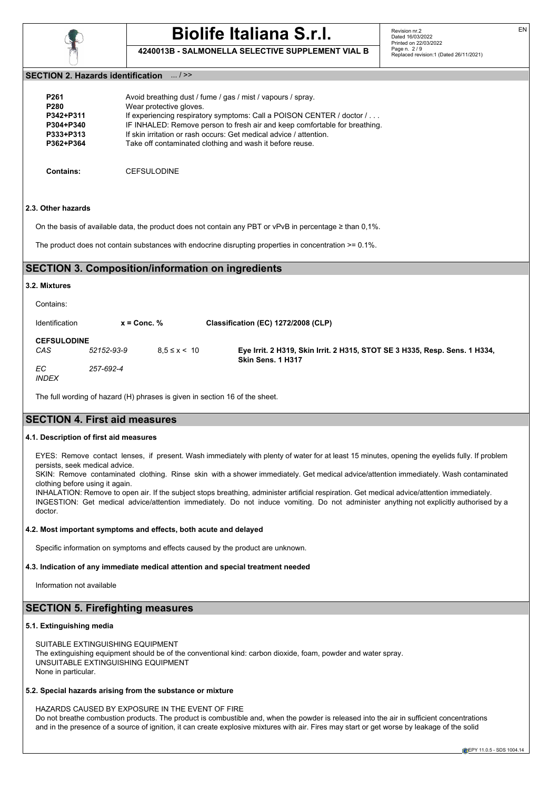

**4240013B - SALMONELLA SELECTIVE SUPPLEMENT VIAL B**

### **SECTION 2. Hazards identification** ... / >>

| P <sub>261</sub> | Avoid breathing dust / fume / gas / mist / vapours / spray.                |
|------------------|----------------------------------------------------------------------------|
| P <sub>280</sub> | Wear protective gloves.                                                    |
| P342+P311        | If experiencing respiratory symptoms: Call a POISON CENTER / doctor /      |
| P304+P340        | IF INHALED: Remove person to fresh air and keep comfortable for breathing. |
| P333+P313        | If skin irritation or rash occurs: Get medical advice / attention.         |
| P362+P364        | Take off contaminated clothing and wash it before reuse.                   |
|                  |                                                                            |

**Contains:** CEFSULODINE

### **2.3. Other hazards**

On the basis of available data, the product does not contain any PBT or vPvB in percentage ≥ than 0,1%.

The product does not contain substances with endocrine disrupting properties in concentration  $\geq 0.1\%$ .

### **SECTION 3. Composition/information on ingredients**

### **3.2. Mixtures**

| Contains:                 |                 |                    |                                                                                                 |
|---------------------------|-----------------|--------------------|-------------------------------------------------------------------------------------------------|
| Identification            | $x =$ Conc. $%$ |                    | Classification (EC) 1272/2008 (CLP)                                                             |
| <b>CEFSULODINE</b><br>CAS | 52152-93-9      | $8.5 \le x \le 10$ | Eye Irrit. 2 H319, Skin Irrit. 2 H315, STOT SE 3 H335, Resp. Sens. 1 H334,<br>Skin Sens. 1 H317 |
| ЕC<br><b>INDEX</b>        | 257-692-4       |                    |                                                                                                 |

The full wording of hazard (H) phrases is given in section 16 of the sheet.

## **SECTION 4. First aid measures**

### **4.1. Description of first aid measures**

EYES: Remove contact lenses, if present. Wash immediately with plenty of water for at least 15 minutes, opening the eyelids fully. If problem persists, seek medical advice.

SKIN: Remove contaminated clothing. Rinse skin with a shower immediately. Get medical advice/attention immediately. Wash contaminated clothing before using it again.

INHALATION: Remove to open air. If the subject stops breathing, administer artificial respiration. Get medical advice/attention immediately. INGESTION: Get medical advice/attention immediately. Do not induce vomiting. Do not administer anything not explicitly authorised by a doctor.

### **4.2. Most important symptoms and effects, both acute and delayed**

Specific information on symptoms and effects caused by the product are unknown.

### **4.3. Indication of any immediate medical attention and special treatment needed**

Information not available

## **SECTION 5. Firefighting measures**

### **5.1. Extinguishing media**

SUITABLE EXTINGUISHING EQUIPMENT The extinguishing equipment should be of the conventional kind: carbon dioxide, foam, powder and water spray. UNSUITABLE EXTINGUISHING EQUIPMENT None in particular.

### **5.2. Special hazards arising from the substance or mixture**

HAZARDS CAUSED BY EXPOSURE IN THE EVENT OF FIRE Do not breathe combustion products. The product is combustible and, when the powder is released into the air in sufficient concentrations and in the presence of a source of ignition, it can create explosive mixtures with air. Fires may start or get worse by leakage of the solid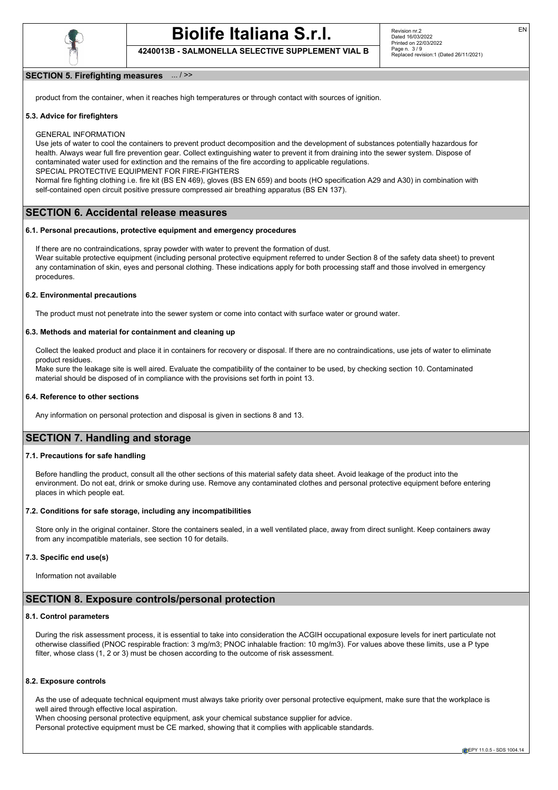

**4240013B - SALMONELLA SELECTIVE SUPPLEMENT VIAL B**

### **SECTION 5. Firefighting measures** ... / >>

product from the container, when it reaches high temperatures or through contact with sources of ignition.

### **5.3. Advice for firefighters**

GENERAL INFORMATION

Use jets of water to cool the containers to prevent product decomposition and the development of substances potentially hazardous for health. Always wear full fire prevention gear. Collect extinguishing water to prevent it from draining into the sewer system. Dispose of contaminated water used for extinction and the remains of the fire according to applicable regulations. SPECIAL PROTECTIVE EQUIPMENT FOR FIRE-FIGHTERS

Normal fire fighting clothing i.e. fire kit (BS EN 469), gloves (BS EN 659) and boots (HO specification A29 and A30) in combination with self-contained open circuit positive pressure compressed air breathing apparatus (BS EN 137).

### **SECTION 6. Accidental release measures**

### **6.1. Personal precautions, protective equipment and emergency procedures**

If there are no contraindications, spray powder with water to prevent the formation of dust. Wear suitable protective equipment (including personal protective equipment referred to under Section 8 of the safety data sheet) to prevent any contamination of skin, eyes and personal clothing. These indications apply for both processing staff and those involved in emergency procedures.

### **6.2. Environmental precautions**

The product must not penetrate into the sewer system or come into contact with surface water or ground water.

### **6.3. Methods and material for containment and cleaning up**

Collect the leaked product and place it in containers for recovery or disposal. If there are no contraindications, use jets of water to eliminate product residues.

Make sure the leakage site is well aired. Evaluate the compatibility of the container to be used, by checking section 10. Contaminated material should be disposed of in compliance with the provisions set forth in point 13.

### **6.4. Reference to other sections**

Any information on personal protection and disposal is given in sections 8 and 13.

## **SECTION 7. Handling and storage**

### **7.1. Precautions for safe handling**

Before handling the product, consult all the other sections of this material safety data sheet. Avoid leakage of the product into the environment. Do not eat, drink or smoke during use. Remove any contaminated clothes and personal protective equipment before entering places in which people eat.

### **7.2. Conditions for safe storage, including any incompatibilities**

Store only in the original container. Store the containers sealed, in a well ventilated place, away from direct sunlight. Keep containers away from any incompatible materials, see section 10 for details.

### **7.3. Specific end use(s)**

Information not available

### **SECTION 8. Exposure controls/personal protection**

### **8.1. Control parameters**

During the risk assessment process, it is essential to take into consideration the ACGIH occupational exposure levels for inert particulate not otherwise classified (PNOC respirable fraction: 3 mg/m3; PNOC inhalable fraction: 10 mg/m3). For values above these limits, use a P type filter, whose class (1, 2 or 3) must be chosen according to the outcome of risk assessment.

### **8.2. Exposure controls**

As the use of adequate technical equipment must always take priority over personal protective equipment, make sure that the workplace is well aired through effective local aspiration.

When choosing personal protective equipment, ask your chemical substance supplier for advice. Personal protective equipment must be CE marked, showing that it complies with applicable standards.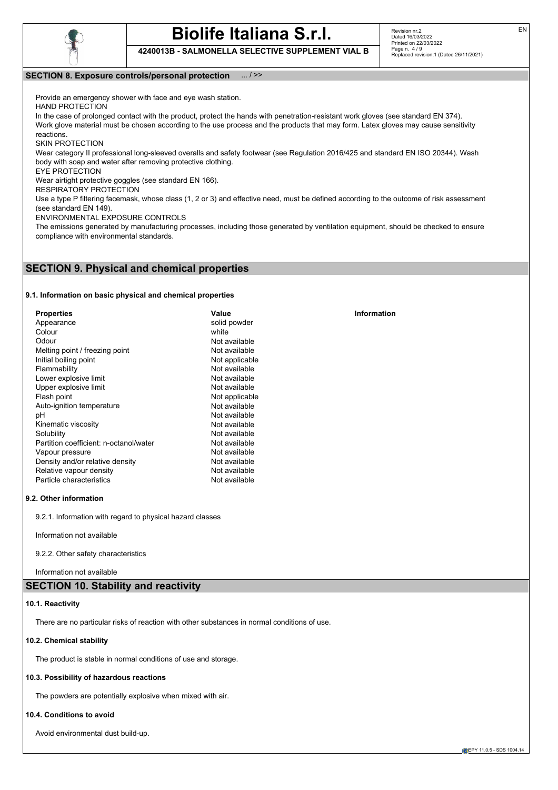

**4240013B - SALMONELLA SELECTIVE SUPPLEMENT VIAL B**

EN

### **SECTION 8. Exposure controls/personal protection** ... / >>

Provide an emergency shower with face and eye wash station.

HAND PROTECTION

In the case of prolonged contact with the product, protect the hands with penetration-resistant work gloves (see standard EN 374). Work glove material must be chosen according to the use process and the products that may form. Latex gloves may cause sensitivity

reactions.

SKIN PROTECTION

Wear category II professional long-sleeved overalls and safety footwear (see Regulation 2016/425 and standard EN ISO 20344). Wash body with soap and water after removing protective clothing.

EYE PROTECTION

Wear airtight protective goggles (see standard EN 166).

RESPIRATORY PROTECTION

Use a type P filtering facemask, whose class (1, 2 or 3) and effective need, must be defined according to the outcome of risk assessment (see standard EN 149).

ENVIRONMENTAL EXPOSURE CONTROLS

The emissions generated by manufacturing processes, including those generated by ventilation equipment, should be checked to ensure compliance with environmental standards.

### **SECTION 9. Physical and chemical properties**

### **9.1. Information on basic physical and chemical properties**

| <b>Properties</b>                      | Value          |
|----------------------------------------|----------------|
| Appearance                             | solid powder   |
| Colour                                 | white          |
| Odour                                  | Not available  |
| Melting point / freezing point         | Not available  |
| Initial boiling point                  | Not applicable |
| Flammability                           | Not available  |
| Lower explosive limit                  | Not available  |
| Upper explosive limit                  | Not available  |
| Flash point                            | Not applicable |
| Auto-ignition temperature              | Not available  |
| рH                                     | Not available  |
| Kinematic viscosity                    | Not available  |
| Solubility                             | Not available  |
| Partition coefficient: n-octanol/water | Not available  |
| Vapour pressure                        | Not available  |
| Density and/or relative density        | Not available  |
| Relative vapour density                | Not available  |
| Particle characteristics               | Not available  |

### **9.2. Other information**

9.2.1. Information with regard to physical hazard classes

Information not available

9.2.2. Other safety characteristics

Information not available

## **SECTION 10. Stability and reactivity**

### **10.1. Reactivity**

There are no particular risks of reaction with other substances in normal conditions of use.

### **10.2. Chemical stability**

The product is stable in normal conditions of use and storage.

### **10.3. Possibility of hazardous reactions**

The powders are potentially explosive when mixed with air.

### **10.4. Conditions to avoid**

Avoid environmental dust build-up.

### **Information**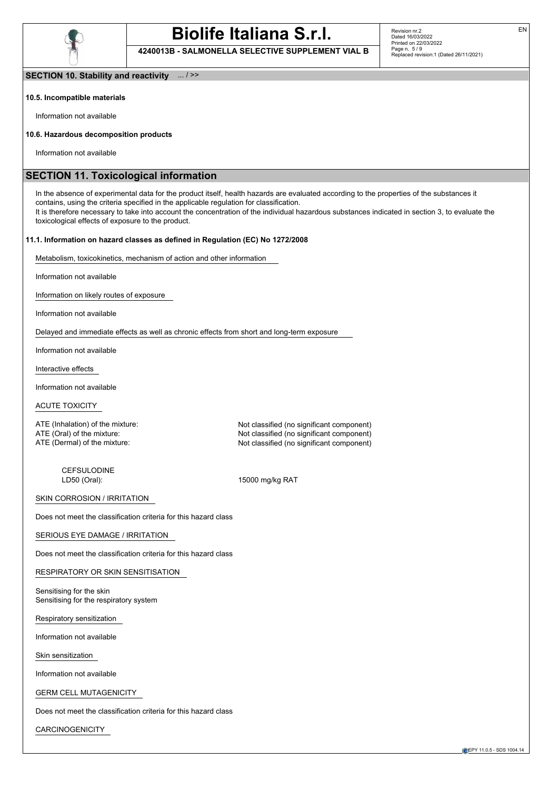

**4240013B - SALMONELLA SELECTIVE SUPPLEMENT VIAL B**

**SECTION 10. Stability and reactivity** ... / >>

### **10.5. Incompatible materials**

Information not available

### **10.6. Hazardous decomposition products**

Information not available

## **SECTION 11. Toxicological information**

In the absence of experimental data for the product itself, health hazards are evaluated according to the properties of the substances it contains, using the criteria specified in the applicable regulation for classification. It is therefore necessary to take into account the concentration of the individual hazardous substances indicated in section 3, to evaluate the toxicological effects of exposure to the product.

### **11.1. Information on hazard classes as defined in Regulation (EC) No 1272/2008**

Metabolism, toxicokinetics, mechanism of action and other information

Information not available

Information on likely routes of exposure

Information not available

Delayed and immediate effects as well as chronic effects from short and long-term exposure

Information not available

Interactive effects

Information not available

ACUTE TOXICITY

ATE (Inhalation) of the mixture: Not classified (no significant component) ATE (Oral) of the mixture: Not classified (no significant component) ATE (Dermal) of the mixture:  $\blacksquare$  Not classified (no significant component)

CEFSULODINE<br>LD50 (Oral):

15000 mg/kg RAT

SKIN CORROSION / IRRITATION

Does not meet the classification criteria for this hazard class

SERIOUS EYE DAMAGE / IRRITATION

Does not meet the classification criteria for this hazard class

RESPIRATORY OR SKIN SENSITISATION

Sensitising for the skin Sensitising for the respiratory system

Respiratory sensitization

Information not available

Skin sensitization

Information not available

GERM CELL MUTAGENICITY

Does not meet the classification criteria for this hazard class

CARCINOGENICITY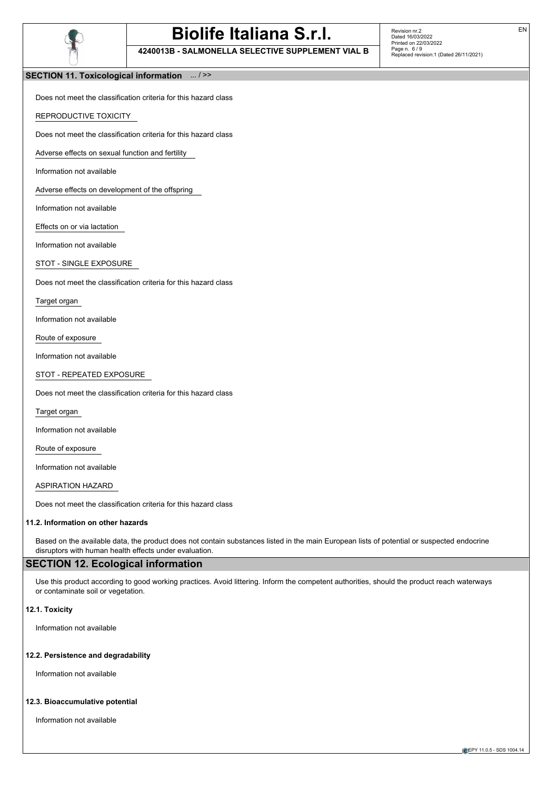

**4240013B - SALMONELLA SELECTIVE SUPPLEMENT VIAL B**

Revision nr.2 Dated 16/03/2022 Printed on 22/03/2022 Page n. 6 / 9 Replaced revision:1 (Dated 26/11/2021)

### **SECTION 11. Toxicological information** ... / >>

Does not meet the classification criteria for this hazard class

REPRODUCTIVE TOXICITY

Does not meet the classification criteria for this hazard class

Adverse effects on sexual function and fertility

Information not available

Adverse effects on development of the offspring

Information not available

Effects on or via lactation

Information not available

STOT - SINGLE EXPOSURE

Does not meet the classification criteria for this hazard class

Target organ

Information not available

Route of exposure

Information not available

STOT - REPEATED EXPOSURE

Does not meet the classification criteria for this hazard class

Target organ

Information not available

Route of exposure

Information not available

ASPIRATION HAZARD

Does not meet the classification criteria for this hazard class

### **11.2. Information on other hazards**

Based on the available data, the product does not contain substances listed in the main European lists of potential or suspected endocrine disruptors with human health effects under evaluation.

# **SECTION 12. Ecological information**

Use this product according to good working practices. Avoid littering. Inform the competent authorities, should the product reach waterways or contaminate soil or vegetation.

### **12.1. Toxicity**

Information not available

### **12.2. Persistence and degradability**

Information not available

### **12.3. Bioaccumulative potential**

Information not available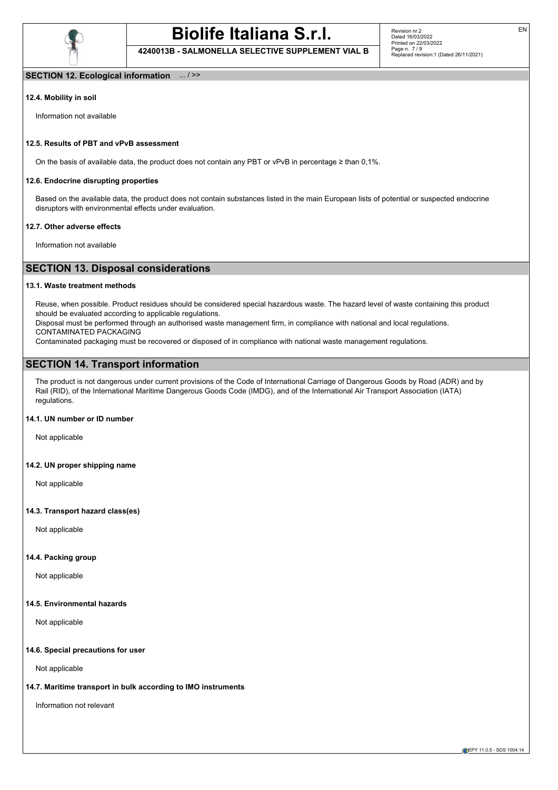

**4240013B - SALMONELLA SELECTIVE SUPPLEMENT VIAL B**

### **SECTION 12. Ecological information** ... / >>

### **12.4. Mobility in soil**

Information not available

### **12.5. Results of PBT and vPvB assessment**

On the basis of available data, the product does not contain any PBT or vPvB in percentage ≥ than 0,1%.

### **12.6. Endocrine disrupting properties**

Based on the available data, the product does not contain substances listed in the main European lists of potential or suspected endocrine disruptors with environmental effects under evaluation.

### **12.7. Other adverse effects**

Information not available

## **SECTION 13. Disposal considerations**

### **13.1. Waste treatment methods**

Reuse, when possible. Product residues should be considered special hazardous waste. The hazard level of waste containing this product should be evaluated according to applicable regulations.

Disposal must be performed through an authorised waste management firm, in compliance with national and local regulations. CONTAMINATED PACKAGING

Contaminated packaging must be recovered or disposed of in compliance with national waste management regulations.

# **SECTION 14. Transport information**

The product is not dangerous under current provisions of the Code of International Carriage of Dangerous Goods by Road (ADR) and by Rail (RID), of the International Maritime Dangerous Goods Code (IMDG), and of the International Air Transport Association (IATA) regulations.

### **14.1. UN number or ID number**

Not applicable

### **14.2. UN proper shipping name**

Not applicable

### **14.3. Transport hazard class(es)**

Not applicable

### **14.4. Packing group**

Not applicable

### **14.5. Environmental hazards**

Not applicable

### **14.6. Special precautions for user**

Not applicable

### **14.7. Maritime transport in bulk according to IMO instruments**

Information not relevant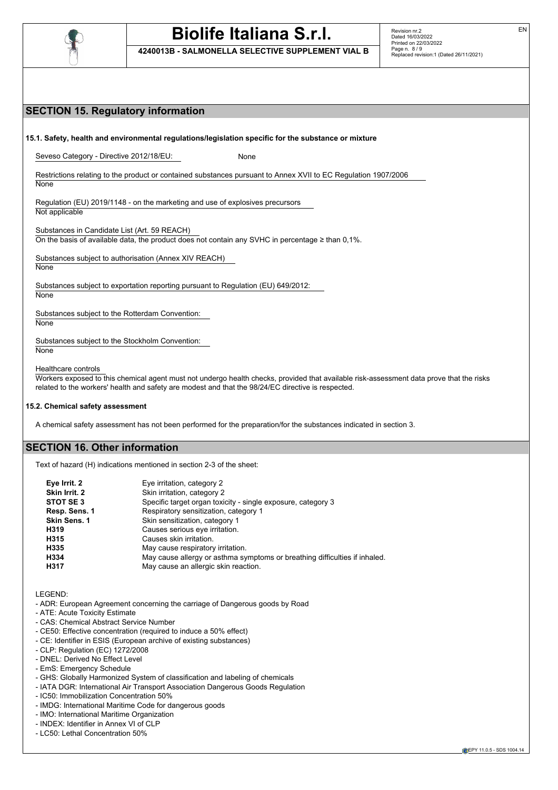

**4240013B - SALMONELLA SELECTIVE SUPPLEMENT VIAL B**

EN

# **SECTION 15. Regulatory information 15.1. Safety, health and environmental regulations/legislation specific for the substance or mixture** Seveso Category - Directive 2012/18/EU: None Restrictions relating to the product or contained substances pursuant to Annex XVII to EC Regulation 1907/2006 **None** Regulation (EU) 2019/1148 - on the marketing and use of explosives precursors Not applicable Substances in Candidate List (Art. 59 REACH) On the basis of available data, the product does not contain any SVHC in percentage  $\geq$  than 0,1%. Substances subject to authorisation (Annex XIV REACH) **None** Substances subject to exportation reporting pursuant to Regulation (EU) 649/2012: **None** Substances subject to the Rotterdam Convention: **None** Substances subject to the Stockholm Convention: **None** Healthcare controls Workers exposed to this chemical agent must not undergo health checks, provided that available risk-assessment data prove that the risks related to the workers' health and safety are modest and that the 98/24/EC directive is respected. **15.2. Chemical safety assessment** A chemical safety assessment has not been performed for the preparation/for the substances indicated in section 3. **SECTION 16. Other information** Text of hazard (H) indications mentioned in section 2-3 of the sheet: **Eye Irrit. 2** Eye irritation, category 2 **Skin Irrit. 2** Skin irritation, category 2 **STOT SE 3** Specific target organ toxicity - single exposure, category 3 **Resp. Sens. 1** Respiratory sensitization, category 1

| Resp. Sens. 1       | Respiratory sensitization, category 1                                      |
|---------------------|----------------------------------------------------------------------------|
| <b>Skin Sens. 1</b> | Skin sensitization, category 1                                             |
| H319                | Causes serious eye irritation.                                             |
| H315                | Causes skin irritation.                                                    |
| H335                | May cause respiratory irritation.                                          |
| H334                | May cause allergy or asthma symptoms or breathing difficulties if inhaled. |
| H317                | May cause an allergic skin reaction.                                       |
|                     |                                                                            |

LEGEND:

- ADR: European Agreement concerning the carriage of Dangerous goods by Road
- ATE: Acute Toxicity Estimate
- CAS: Chemical Abstract Service Number
- CE50: Effective concentration (required to induce a 50% effect)
- CE: Identifier in ESIS (European archive of existing substances)
- CLP: Regulation (EC) 1272/2008
- DNEL: Derived No Effect Level
- EmS: Emergency Schedule
- GHS: Globally Harmonized System of classification and labeling of chemicals
- IATA DGR: International Air Transport Association Dangerous Goods Regulation
- IC50: Immobilization Concentration 50%
- IMDG: International Maritime Code for dangerous goods
- IMO: International Maritime Organization
- INDEX: Identifier in Annex VI of CLP
- LC50: Lethal Concentration 50%